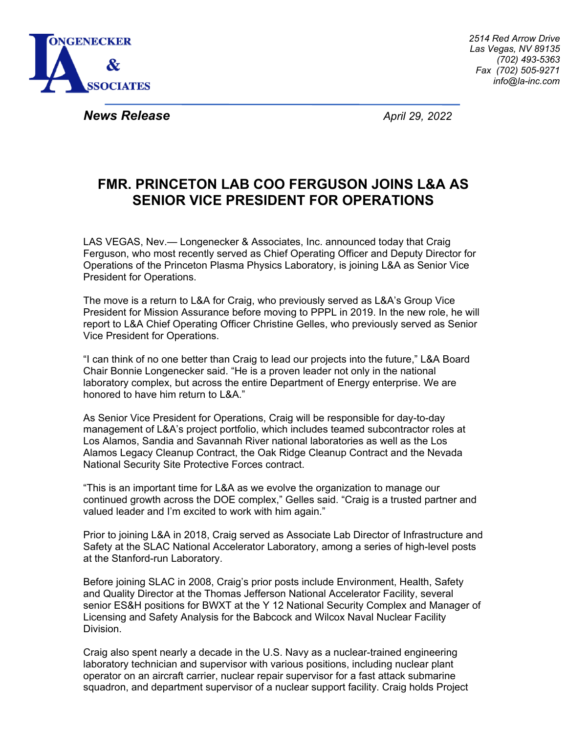

*News Release April 29, 2022* 

## **FMR. PRINCETON LAB COO FERGUSON JOINS L&A AS SENIOR VICE PRESIDENT FOR OPERATIONS**

LAS VEGAS, Nev.— Longenecker & Associates, Inc. announced today that Craig Ferguson, who most recently served as Chief Operating Officer and Deputy Director for Operations of the Princeton Plasma Physics Laboratory, is joining L&A as Senior Vice President for Operations.

The move is a return to L&A for Craig, who previously served as L&A's Group Vice President for Mission Assurance before moving to PPPL in 2019. In the new role, he will report to L&A Chief Operating Officer Christine Gelles, who previously served as Senior Vice President for Operations.

"I can think of no one better than Craig to lead our projects into the future," L&A Board Chair Bonnie Longenecker said. "He is a proven leader not only in the national laboratory complex, but across the entire Department of Energy enterprise. We are honored to have him return to L&A."

As Senior Vice President for Operations, Craig will be responsible for day-to-day management of L&A's project portfolio, which includes teamed subcontractor roles at Los Alamos, Sandia and Savannah River national laboratories as well as the Los Alamos Legacy Cleanup Contract, the Oak Ridge Cleanup Contract and the Nevada National Security Site Protective Forces contract.

"This is an important time for L&A as we evolve the organization to manage our continued growth across the DOE complex," Gelles said. "Craig is a trusted partner and valued leader and I'm excited to work with him again."

Prior to joining L&A in 2018, Craig served as Associate Lab Director of Infrastructure and Safety at the SLAC National Accelerator Laboratory, among a series of high-level posts at the Stanford-run Laboratory.

Before joining SLAC in 2008, Craig's prior posts include Environment, Health, Safety and Quality Director at the Thomas Jefferson National Accelerator Facility, several senior ES&H positions for BWXT at the Y 12 National Security Complex and Manager of Licensing and Safety Analysis for the Babcock and Wilcox Naval Nuclear Facility Division.

Craig also spent nearly a decade in the U.S. Navy as a nuclear-trained engineering laboratory technician and supervisor with various positions, including nuclear plant operator on an aircraft carrier, nuclear repair supervisor for a fast attack submarine squadron, and department supervisor of a nuclear support facility. Craig holds Project